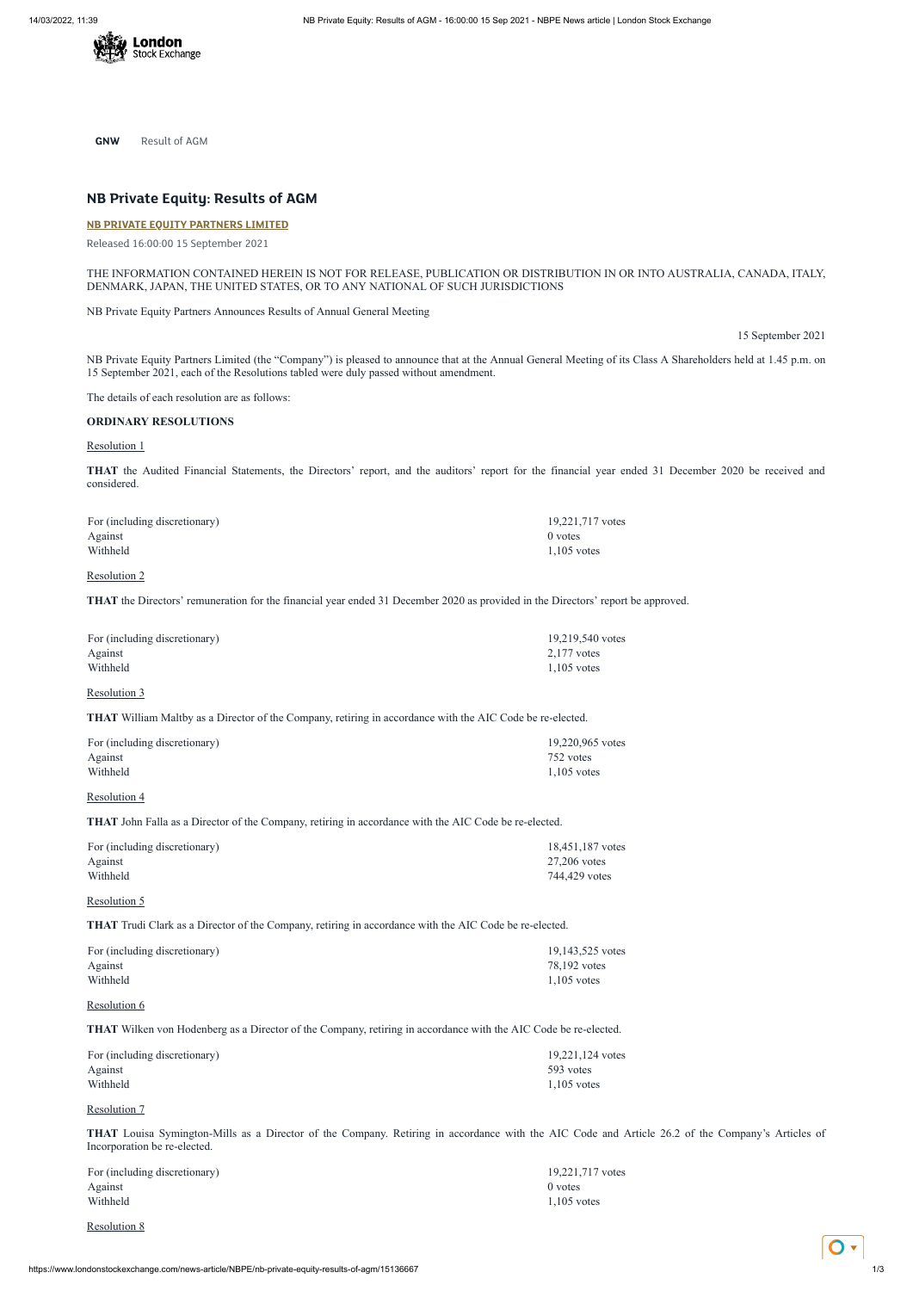

**GNW** Result of AGM

# **NB Private Equity: Results of AGM**

#### **NB PRIVATE EQUITY [PARTNERS](https://www.londonstockexchange.com/stock/NBPE/nb-private-equity-partners-limited) LIMITED**

Released 16:00:00 15 September 2021

THE INFORMATION CONTAINED HEREIN IS NOT FOR RELEASE, PUBLICATION OR DISTRIBUTION IN OR INTO AUSTRALIA, CANADA, ITALY, DENMARK, JAPAN, THE UNITED STATES, OR TO ANY NATIONAL OF SUCH JURISDICTIONS

NB Private Equity Partners Announces Results of Annual General Meeting

15 September 2021

NB Private Equity Partners Limited (the "Company") is pleased to announce that at the Annual General Meeting of its Class A Shareholders held at 1.45 p.m. on 15 September 2021, each of the Resolutions tabled were duly passed without amendment.

The details of each resolution are as follows:

#### **ORDINARY RESOLUTIONS**

#### Resolution 1

**THAT** the Audited Financial Statements, the Directors' report, and the auditors' report for the financial year ended 31 December 2020 be received and considered.

For (including discretionary) 19,221,717 votes Against 0 votes 0 votes 0 votes 0 votes 0 votes 0 votes 0 votes 0 votes 0 votes 0 votes 0 votes 0 votes 0 votes 0 votes 0 votes 0 votes 0 votes 0 votes 0 votes 0 votes 0 votes 0 votes 0 votes 0 votes 0 votes 0 votes 0 vote Withheld 1,105 votes 2, 200 and 2, 200 and 2, 200 and 2, 200 and 2, 200 and 2, 200 and 2, 200 and 2, 200 and 2, 200 and 2, 200 and 2, 200 and 2, 200 and 2, 200 and 2, 200 and 2, 200 and 2, 200 and 2, 200 and 2, 200 and 2,

# Resolution 2

**THAT** the Directors' remuneration for the financial year ended 31 December 2020 as provided in the Directors' report be approved.

| For (including discretionary) | 19,219,540 votes |
|-------------------------------|------------------|
| Against                       | $2.177$ votes    |
| Withheld                      | $1.105$ votes    |

#### Resolution 3

**THAT** William Maltby as a Director of the Company, retiring in accordance with the AIC Code be re-elected.

| For (including discretionary) | 19.220.965 votes |
|-------------------------------|------------------|
| Against                       | 752 votes        |
| Withheld                      | $1.105$ votes    |

# Resolution 4

**THAT** John Falla as a Director of the Company, retiring in accordance with the AIC Code be re-elected.

| For (including discretionary) | 18,451,187 votes |
|-------------------------------|------------------|
| Against                       | $27.206$ votes   |
| Withheld                      | 744,429 votes    |

# Resolution 5

**THAT** Trudi Clark as a Director of the Company, retiring in accordance with the AIC Code be re-elected.

| For (including discretionary) |  |
|-------------------------------|--|
| Against                       |  |

19,143,525 votes 78,192 votes

Withheld 1,105 votes

#### Resolution 6

# **THAT** Wilken von Hodenberg as a Director of the Company, retiring in accordance with the AIC Code be re-elected.

| For (including discretionary) | 19,221,124 votes |
|-------------------------------|------------------|
| Against                       | 593 votes        |
| Withheld                      | $1.105$ votes    |

#### Resolution 7

**THAT** Louisa Symington-Mills as a Director of the Company. Retiring in accordance with the AIC Code and Article 26.2 of the Company's Articles of Incorporation be re-elected.

| For (including discretionary) | 19,221,717    |
|-------------------------------|---------------|
| Against                       | $0$ votes     |
| Withheld                      | $1,105$ votes |

19,221,717 votes

# Resolution 8

https://www.londonstockexchange.com/news-article/NBPE/nb-private-equity-results-of-agm/15136667 1/3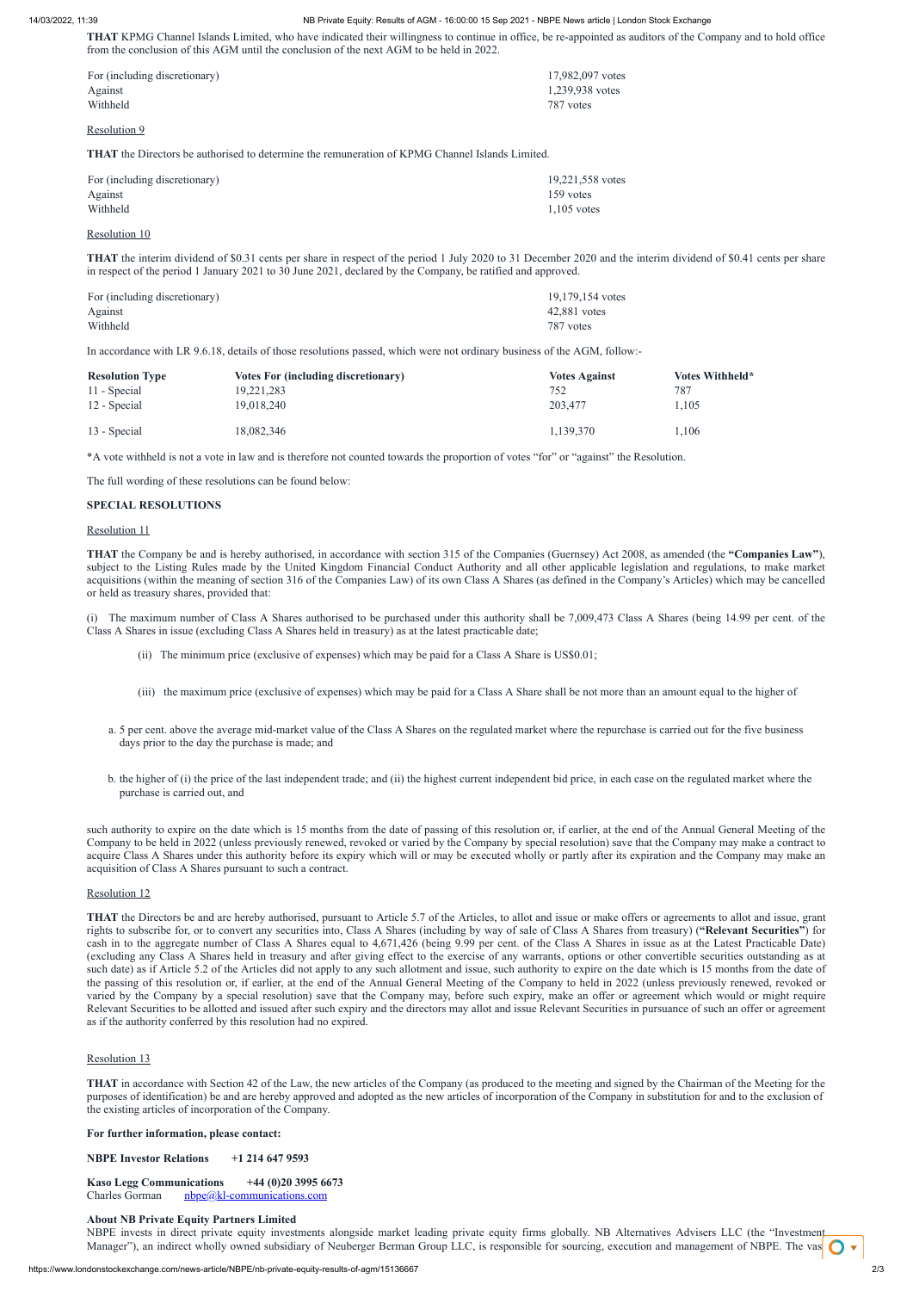**THAT** KPMG Channel Islands Limited, who have indicated their willingness to continue in office, be re-appointed as auditors of the Company and to hold office from the conclusion of this AGM until the conclusion of the next AGM to be held in 2022.

| For (including discretionary) | 17,982,097 votes |
|-------------------------------|------------------|
| Against                       | 1,239,938 votes  |
| Withheld                      | 787 votes        |

#### Resolution 9

**THAT** the Directors be authorised to determine the remuneration of KPMG Channel Islands Limited.

| For (including discretionary) | 19,221,558 votes |
|-------------------------------|------------------|
| Against                       | 159 votes        |
| Withheld                      | $1.105$ votes    |

#### Resolution 10

**THAT** the interim dividend of \$0.31 cents per share in respect of the period 1 July 2020 to 31 December 2020 and the interim dividend of \$0.41 cents per share in respect of the period 1 January 2021 to 30 June 2021, declared by the Company, be ratified and approved.

| For (including discretionary) | 19,179,154 votes |
|-------------------------------|------------------|
| Against                       | 42,881 votes     |
| Withheld                      | 787 votes        |

In accordance with LR 9.6.18, details of those resolutions passed, which were not ordinary business of the AGM, follow:-

| <b>Resolution Type</b> | <b>Votes For (including discretionary)</b> | <b>Votes Against</b> | <b>Votes Withheld*</b> |
|------------------------|--------------------------------------------|----------------------|------------------------|
| 11 - Special           | 19,221,283                                 | 752                  | 787                    |
| 12 - Special           | 19,018,240                                 | 203,477              | 1.105                  |
| 13 - Special           | 18,082,346                                 | 1,139,370            | 1,106                  |

\*A vote withheld is not a vote in law and is therefore not counted towards the proportion of votes "for" or "against" the Resolution.

The full wording of these resolutions can be found below:

# **SPECIAL RESOLUTIONS**

#### Resolution 11

**THAT** the Company be and is hereby authorised, in accordance with section 315 of the Companies (Guernsey) Act 2008, as amended (the **"Companies Law"**), subject to the Listing Rules made by the United Kingdom Financial Conduct Authority and all other applicable legislation and regulations, to make market acquisitions (within the meaning of section 316 of the Companies Law) of its own Class A Shares (as defined in the Company's Articles) which may be cancelled or held as treasury shares, provided that:

(i) The maximum number of Class A Shares authorised to be purchased under this authority shall be 7,009,473 Class A Shares (being 14.99 per cent. of the Class A Shares in issue (excluding Class A Shares held in treasury) as at the latest practicable date;

**Kaso Legg Communications +44 (0)20 3995 6673** Charles Gorman  $nbpe@kl-communications.com$ 

- (ii) The minimum price (exclusive of expenses) which may be paid for a Class A Share is US\$0.01;
- (iii) the maximum price (exclusive of expenses) which may be paid for a Class A Share shall be not more than an amount equal to the higher of
- a. 5 per cent. above the average mid-market value of the Class A Shares on the regulated market where the repurchase is carried out for the five business days prior to the day the purchase is made; and
- b. the higher of (i) the price of the last independent trade; and (ii) the highest current independent bid price, in each case on the regulated market where the purchase is carried out, and

NBPE invests in direct private equity investments alongside market leading private equity firms globally. NB Alternatives Advisers LLC (the "Investment Manager"), an indirect wholly owned subsidiary of Neuberger Berman Group LLC, is responsible for sourcing, execution and management of NBPE. The vas

such authority to expire on the date which is 15 months from the date of passing of this resolution or, if earlier, at the end of the Annual General Meeting of the Company to be held in 2022 (unless previously renewed, revoked or varied by the Company by special resolution) save that the Company may make a contract to acquire Class A Shares under this authority before its expiry which will or may be executed wholly or partly after its expiration and the Company may make an acquisition of Class A Shares pursuant to such a contract.

#### Resolution 12

**THAT** the Directors be and are hereby authorised, pursuant to Article 5.7 of the Articles, to allot and issue or make offers or agreements to allot and issue, grant rights to subscribe for, or to convert any securities into, Class A Shares (including by way of sale of Class A Shares from treasury) (**"Relevant Securities"**) for cash in to the aggregate number of Class A Shares equal to 4,671,426 (being 9.99 per cent. of the Class A Shares in issue as at the Latest Practicable Date) (excluding any Class A Shares held in treasury and after giving effect to the exercise of any warrants, options or other convertible securities outstanding as at such date) as if Article 5.2 of the Articles did not apply to any such allotment and issue, such authority to expire on the date which is 15 months from the date of the passing of this resolution or, if earlier, at the end of the Annual General Meeting of the Company to held in 2022 (unless previously renewed, revoked or varied by the Company by a special resolution) save that the Company may, before such expiry, make an offer or agreement which would or might require Relevant Securities to be allotted and issued after such expiry and the directors may allot and issue Relevant Securities in pursuance of such an offer or agreement as if the authority conferred by this resolution had no expired.

# Resolution 13

**THAT** in accordance with Section 42 of the Law, the new articles of the Company (as produced to the meeting and signed by the Chairman of the Meeting for the purposes of identification) be and are hereby approved and adopted as the new articles of incorporation of the Company in substitution for and to the exclusion of the existing articles of incorporation of the Company.

# **For further information, please contact:**

**NBPE Investor Relations +1 214 647 9593**

# **About NB Private Equity Partners Limited**